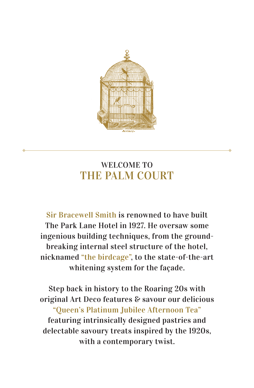

# WELCOME TO THE PALM COURT

Sir Bracewell Smith is renowned to have built The Park Lane Hotel in 1927. He oversaw some ingenious building techniques, from the groundbreaking internal steel structure of the hotel, nicknamed "the birdcage", to the state-of-the-art whitening system for the façade.

Step back in history to the Roaring 20s with original Art Deco features & savour our delicious "Queen's Platinum Jubilee Afternoon Tea" featuring intrinsically designed pastries and delectable savoury treats inspired by the 1920s, with a contemporary twist.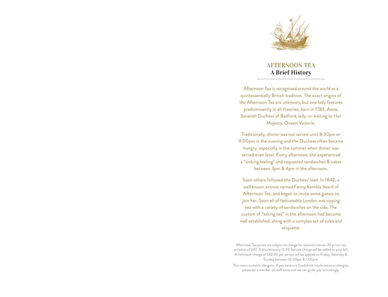

# AFTERNOON TEA A Brief History

Afternoon Tea is recognised around the world as a quintessentially British tradition. The exact origins of the Afternoon Tea are unknown, but one lady features predominantly in all theories; born in 1783, Anna, Seventh Duchess of Bedford, lady-in-waiting to Her Majesty, Queen Victoria.

Traditionally, dinner was not served until 8:30pm or 9:00pm in the evening and the Duchess often became hungry, especially in the summer when dinner was served even later. Every afternoon, she experienced a "sinking feeling" and requested sandwiches & cakes between 3pm & 4pm in the afternoon.

Soon others followed the Duchess' lead. In 1842, a well known actress named Fanny Kemble heard of Afternoon Tea, and began to invite some guests to join her. Soon all of fashionable London was sipping tea with a variety of sandwiches on the side. The custom of "taking tea" in the afternoon had become well established, along with a complex set of rules and etiquette.

Afternoon Tea prices are subject to change for seasonal menus. All prices are inclusive of VAT. A discretionary 12.5% Service charge will be added to your bill. A minimum charge of £42.00 per person will be applied on Friday, Saturday & Sunday between 12:00pm & 7:00pm.

This menu contains allergens. If you have any food/drink intolerances or allergies, please let a member of staff know and we can guide you accordingly.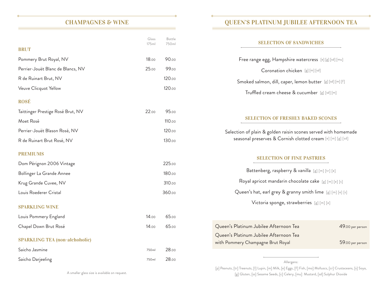# CHAMPAGNES & WINE

|                                       | Glass<br>175ml | Bottle<br>750ml |                        |   |
|---------------------------------------|----------------|-----------------|------------------------|---|
| <b>BRUT</b>                           |                |                 |                        |   |
| Pommery Brut Royal, NV                | 18.00          | 90.00           |                        |   |
| Perrier-Jouët Blanc de Blancs, NV     | 25.00          | 99.00           |                        |   |
| R de Ruinart Brut, NV                 |                | 120.00          |                        |   |
| Veuve Clicquot Yellow                 |                | 120.00          |                        |   |
| <b>ROSÉ</b>                           |                |                 |                        |   |
| Taittinger Prestige Rosé Brut, NV     | 22.00          | 95.00           |                        |   |
| Moet Rosé                             |                | 110.00          |                        |   |
| Perrier-Jouët Blason Rosé, NV         |                | 120.00          | Seleo                  |   |
| R de Ruinart Brut Rosé, NV            |                | 130.00          |                        | S |
| <b>PREMIUMS</b>                       |                |                 |                        |   |
| Dom Pérignon 2006 Vintage             |                | 225.00          |                        |   |
| Bollinger La Grande Annee             |                | 180.00          |                        |   |
| Krug Grande Cuvee, NV                 |                | 310.00          |                        |   |
| Louis Roederer Cristal                |                | 360.00          |                        |   |
| <b>SPARKLING WINE</b>                 |                |                 |                        |   |
| Louis Pommery England                 | 14.00          | 65.00           |                        |   |
| Chapel Down Brut Rosé                 | 14.00          | 65.00           | Queen's F              |   |
| <b>SPARKLING TEA (non-alchoholic)</b> |                |                 | Queen's F<br>with Pomr |   |
| Saicho Jasmine                        | 750ml          | 28.00           |                        |   |
| Saicho Darjeeling                     | 750ml          | 28.00           |                        |   |
|                                       |                |                 |                        |   |

# QUEEN'S PLATINUM JUBILEE AFTERNOON TEA

### SELECTION OF SANDWICHES

| Free range egg, Hampshire watercress [e] [g] [sd] [mu]                                                                        |                                                           |  |  |  |                                           |
|-------------------------------------------------------------------------------------------------------------------------------|-----------------------------------------------------------|--|--|--|-------------------------------------------|
| Coronation chicken [g] [m] [sd]                                                                                               |                                                           |  |  |  |                                           |
|                                                                                                                               | Smoked salmon, dill, caper, lemon butter [g] [sd] [m] [f] |  |  |  |                                           |
| Truffled cream cheese & cucumber [g] [sd] [m]                                                                                 |                                                           |  |  |  |                                           |
|                                                                                                                               |                                                           |  |  |  |                                           |
| <b>SELECTION OF FRESHLY BAKED SCONES</b>                                                                                      |                                                           |  |  |  |                                           |
| Selection of plain & golden raisin scones served with homemade<br>seasonal preserves & Cornish clotted cream [e] [m] [g] [sd] |                                                           |  |  |  |                                           |
| <b>SELECTION OF FINE PASTRIES</b>                                                                                             |                                                           |  |  |  |                                           |
| Battenberg, raspberry & vanilla [g] [m] [tr] [e]                                                                              |                                                           |  |  |  |                                           |
| Royal apricot mandarin chocolate cake [g] [m] [e] [s]<br>Queen's hat, earl grey & granny smith lime $[g]$ [m] [e] [s]         |                                                           |  |  |  |                                           |
|                                                                                                                               |                                                           |  |  |  | Victoria sponge, strawberries [g] [m] [e] |
|                                                                                                                               |                                                           |  |  |  |                                           |
| Queen's Platinum Jubilee Afternoon Tea                                                                                        | 49.00 per person                                          |  |  |  |                                           |
| Queen's Platinum Jubilee Afternoon Tea<br>with Pommery Champagne Brut Royal                                                   | 59.00 per person                                          |  |  |  |                                           |
|                                                                                                                               |                                                           |  |  |  |                                           |

Allergens:

[p] Peanuts, [tr] Treenuts, [l] Lupin, [m] Milk, [e] Eggs, [f] Fish, [mo] Molluscs, [cr] Crustaceans, [s] Soya, [g] Gluten, [ss] Sesame Seeds, [c] Celery, [mu] Mustard, [sd] Sulphur Dioxide

A smaller glass size is available on request.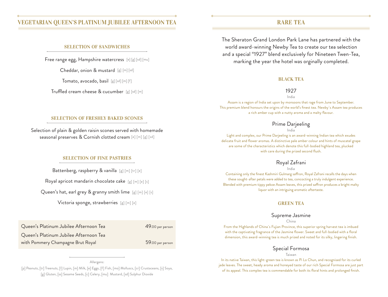## VEGETARIAN QUEEN'S PLATINUM JUBILEE AFTERNOON

#### SELECTION OF SANDWICHES

Free range egg, Hampshire watercress [e] [g] [sd] [mu]

Cheddar, onion & mustard [g] [m] [sd]

Tomato, avocado, basil [g] [sd] [m] [f]

Truffled cream cheese & cucumber [g] [sd] [m]

### RARE TEA

The Sheraton Grand London Park Lane has partnered with the world award-winning Newby Tea to create our tea selection and a special "1927" blend exclusively for Nineteen Twen-Tea, marking the year the hotel was orginally completed.

#### BLACK TEA

#### 1927

#### India

Assam is a region of India set upon by monsoons that rage from June to September. This premium blend honours the origins of the world's finest tea. Newby`s Assam tea produces a rich amber cup with a nutty aroma and a malty flavour.

### Prime Darjeeling

India

Light and complex, our Prime Darjeeling is an award-winning Indian tea which exudes delicate fruit and flower aromas. A distinctive pale amber colour and hints of muscatel grape are some of the characteristics which denote this full-bodied highland tea, plucked with care during the prized second flush.

### Royal Zafrani

India

Containing only the finest Kashmiri Gulmarg saffron, Royal Zafrani recalls the days when these sought-after petals were added to tea, concocting a truly indulgent experience. Blended with premium tippy pekoe Assam leaves, this prized saffron produces a bright malty liquor with an intriguing aromatic aftertaste.

#### **GREEN TEA**

#### Supreme Jasmine

#### China

From the Highlands of China`s Fujian Province, this superior spring harvest tea is imbued with the captivating fragrance of the Jasmine flower. Sweet and full-bodied with a floral dimension, this award-winning tea is much prized and noted for its silky, lingering finish.

### Special Formosa

Taiwan

In its native Taiwan, this light-green tea is known as Pi Lo Chun, and recognised for its curled jade leaves. The sweet, heady aroma and honeyed taste of our rich Special Formosa are just part of its appeal. This complex tea is commendable for both its floral hints and prolonged finish.

### SELECTION OF FRESHLY BAKED SCONES

Selection of plain & golden raisin scones served with homemade seasonal preserves & Cornish clotted cream [e] [m] [g] [sd]

### SELECTION OF FINE PASTRIES

Battenberg, raspberry & vanilla [g] [m] [tr] [e]

Royal apricot mandarin chocolate cake [g] [m] [e] [s]

Queen's hat, earl grey & granny smith lime [g] [m] [e] [s]

Victoria sponge, strawberries [g] [m] [e]

Queen's Platinum Jubilee Afternoon Tea 49.00 per person

Queen's Platinum Jubilee Afternoon Tea with Pommery Champagne Brut Royal 59.00 per person

Allergens: [p] Peanuts, [tr] Treenuts, [l] Lupin, [m] Milk, [e] Eggs, [f] Fish, [mo] Molluscs, [cr] Crustaceans, [s] Soya, [g] Gluten, [ss] Sesame Seeds, [c] Celery, [mu] Mustard, [sd] Sulphur Dioxide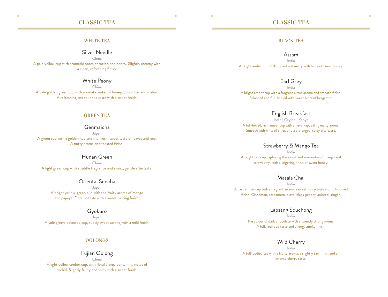## CLASSIC TEA

#### **WHITE TEA**

Silver Needle

China A pale yellow cup with aromatic notes of melon and honey. Slightly creamy with a clean, refreshing finish.

White Peony

China A pale golden green cup with aromatic notes of honey, cucumber and melon. A refreshing and rounded taste with a sweet finish.

#### GREEN TEA

#### Genmaicha

Japan A green cup with a golden hue and the fresh, sweet taste of leaves and rice. A nutty aroma and toasted finish.

Hunan Green China A light green cup with a subtle fragrance and sweet, gentle aftertaste.

Oriental Sencha Japan A bright yellow-green cup with the fruity aroma of mango and papaya. Floral in taste with a sweet, lasting finish.

Gyokuro

Japan A jade green-coloured cup, subtly sweet tasting with a mild finish.

#### OOLONGS

#### Fujian Oolong China

A light yellow-amber cup, with floral aroma containing notes of orchid. Slightly fruity and spicy with a sweet finish.

### CLASSIC TEA

#### BLACK TEA

#### Assam

India A bright amber cup, full-bodied and malty with hints of sweet honey.

### Earl Grey

India A bright amber cup with a fragrant citrus aroma and smooth finish. Balanced and full-bodied with sweet hints of bergamot.

### English Breakfast

India | Ceylon | Kenya A full-boiled, rich amber cup with an ever-appealing malty aroma. Smooth with hints of citrus and a prolonged, spicy aftertaste.

#### Strawberry & Mango Tea

India A bright red cup capturing the sweet and sour notes of mango and strawberry, with a lingering finish of sweet honey.

### Masala Chai

India A dark amber cup with a fragrant aroma, a sweet, spicy taste and full-bodied finish. Cinnamon, cardamom, clove, black pepper, aniseed, ginger.

# Lapsang Souchong

India The colour of dark chocolate with a sweetly strong aroma. A full, rounded taste and a long, smoky finish.

#### Wild Cherry

India A full-bodied tea with a fruity aroma, a slightly tart finish and an intense cherry taste.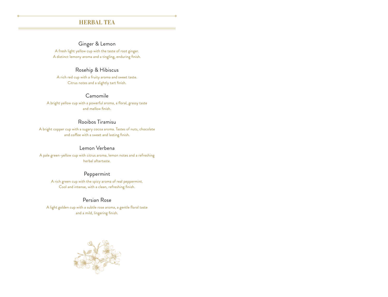## HERBAL TEA

# Ginger & Lemon

A fresh light yellow cup with the taste of root ginger. A distinct lemony aroma and a tingling, enduring finish.

### Rosehip & Hibiscus

A rich red cup with a fruity aroma and sweet taste. Citrus notes and a slightly tart finish.

#### Camomile

A bright yellow cup with a powerful aroma, a floral, grassy taste and mellow finish.

### Rooibos Tiramisu

A bright copper cup with a sugary cocoa aroma. Tastes of nuts, chocolate and coffee with a sweet and lasting finish.

### Lemon Verbena

A pale green-yellow cup with citrus aroma, lemon notes and a refreshing herbal aftertaste.

# Peppermint

A rich green cup with the spicy aroma of real peppermint. Cool and intense, with a clean, refreshing finish.

### Persian Rose

A light golden cup with a subtle rose aroma, a gentle floral taste and a mild, lingering finish.